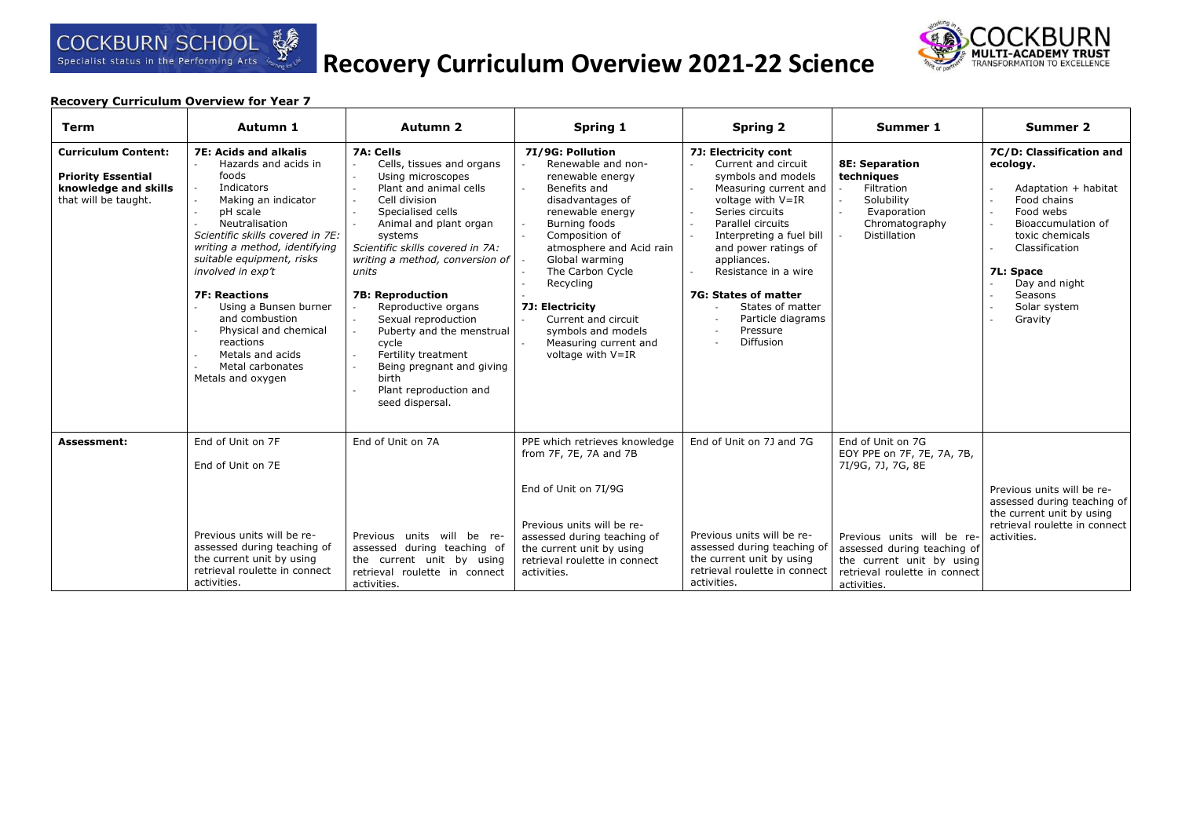# **Recovery Curriculum Overview 2021-22 Science**



| <b>Term</b>                                                                                             | Autumn 1                                                                                                                                                                                                                                                                                                                                                                                                                      | Autumn <sub>2</sub>                                                                                                                                                                                                                                                                                                                                                                                                                                                       | Spring 1                                                                                                                                                                                                                                                                                                                                           | <b>Spring 2</b>                                                                                                                                                                                                                                                                                                                                     | Summer 1                                                                                                                               | <b>Summer 2</b>                                                                                                                                                                                                         |
|---------------------------------------------------------------------------------------------------------|-------------------------------------------------------------------------------------------------------------------------------------------------------------------------------------------------------------------------------------------------------------------------------------------------------------------------------------------------------------------------------------------------------------------------------|---------------------------------------------------------------------------------------------------------------------------------------------------------------------------------------------------------------------------------------------------------------------------------------------------------------------------------------------------------------------------------------------------------------------------------------------------------------------------|----------------------------------------------------------------------------------------------------------------------------------------------------------------------------------------------------------------------------------------------------------------------------------------------------------------------------------------------------|-----------------------------------------------------------------------------------------------------------------------------------------------------------------------------------------------------------------------------------------------------------------------------------------------------------------------------------------------------|----------------------------------------------------------------------------------------------------------------------------------------|-------------------------------------------------------------------------------------------------------------------------------------------------------------------------------------------------------------------------|
| <b>Curriculum Content:</b><br><b>Priority Essential</b><br>knowledge and skills<br>that will be taught. | <b>7E: Acids and alkalis</b><br>Hazards and acids in<br>foods<br>Indicators<br>Making an indicator<br>pH scale<br>Neutralisation<br>Scientific skills covered in 7E:<br>writing a method, identifying<br>suitable equipment, risks<br>involved in exp't<br><b>7F: Reactions</b><br>Using a Bunsen burner<br>and combustion<br>Physical and chemical<br>reactions<br>Metals and acids<br>Metal carbonates<br>Metals and oxygen | 7A: Cells<br>Cells, tissues and organs<br>Using microscopes<br>Plant and animal cells<br>Cell division<br>Specialised cells<br>Animal and plant organ<br>systems<br>Scientific skills covered in 7A:<br>writing a method, conversion of<br>units<br><b>7B: Reproduction</b><br>Reproductive organs<br>Sexual reproduction<br>Puberty and the menstrual<br>cycle<br>Fertility treatment<br>Being pregnant and giving<br>birth<br>Plant reproduction and<br>seed dispersal. | 7I/9G: Pollution<br>Renewable and non-<br>renewable energy<br>Benefits and<br>disadvantages of<br>renewable energy<br>Burning foods<br>Composition of<br>atmosphere and Acid rain<br>Global warming<br>The Carbon Cycle<br>Recycling<br>7J: Electricity<br>Current and circuit<br>symbols and models<br>Measuring current and<br>voltage with V=IR | 7J: Electricity cont<br>Current and circuit<br>symbols and models<br>Measuring current and<br>voltage with V=IR<br>Series circuits<br>Parallel circuits<br>Interpreting a fuel bill<br>and power ratings of<br>appliances.<br>Resistance in a wire<br>7G: States of matter<br>States of matter<br>Particle diagrams<br>Pressure<br><b>Diffusion</b> | <b>8E: Separation</b><br>techniques<br>Filtration<br>Solubility<br>Evaporation<br>Chromatography<br><b>Distillation</b>                | 7C/D: Classification and<br>ecology.<br>Adaptation + habitat<br>Food chains<br>Food webs<br>Bioaccumulation of<br>toxic chemicals<br>Classification<br>7L: Space<br>Day and night<br>Seasons<br>Solar system<br>Gravity |
| <b>Assessment:</b>                                                                                      | End of Unit on 7F<br>End of Unit on 7E                                                                                                                                                                                                                                                                                                                                                                                        | End of Unit on 7A                                                                                                                                                                                                                                                                                                                                                                                                                                                         | PPE which retrieves knowledge<br>from 7F, 7E, 7A and 7B<br>End of Unit on 7I/9G                                                                                                                                                                                                                                                                    | End of Unit on 7J and 7G                                                                                                                                                                                                                                                                                                                            | End of Unit on 7G<br>EOY PPE on 7F, 7E, 7A, 7B,<br>7I/9G, 7J, 7G, 8E                                                                   | Previous units will be re-<br>assessed during teaching of<br>the current unit by using                                                                                                                                  |
|                                                                                                         | Previous units will be re-<br>assessed during teaching of<br>the current unit by using<br>retrieval roulette in connect<br>activities.                                                                                                                                                                                                                                                                                        | Previous units will be re-<br>assessed during teaching of<br>the current unit by using<br>retrieval roulette in connect<br>activities.                                                                                                                                                                                                                                                                                                                                    | Previous units will be re-<br>assessed during teaching of<br>the current unit by using<br>retrieval roulette in connect<br>activities.                                                                                                                                                                                                             | Previous units will be re-<br>assessed during teaching of<br>the current unit by using<br>retrieval roulette in connect<br>activities.                                                                                                                                                                                                              | Previous units will be re-<br>assessed during teaching of<br>the current unit by using<br>retrieval roulette in connect<br>activities. | retrieval roulette in connect<br>activities.                                                                                                                                                                            |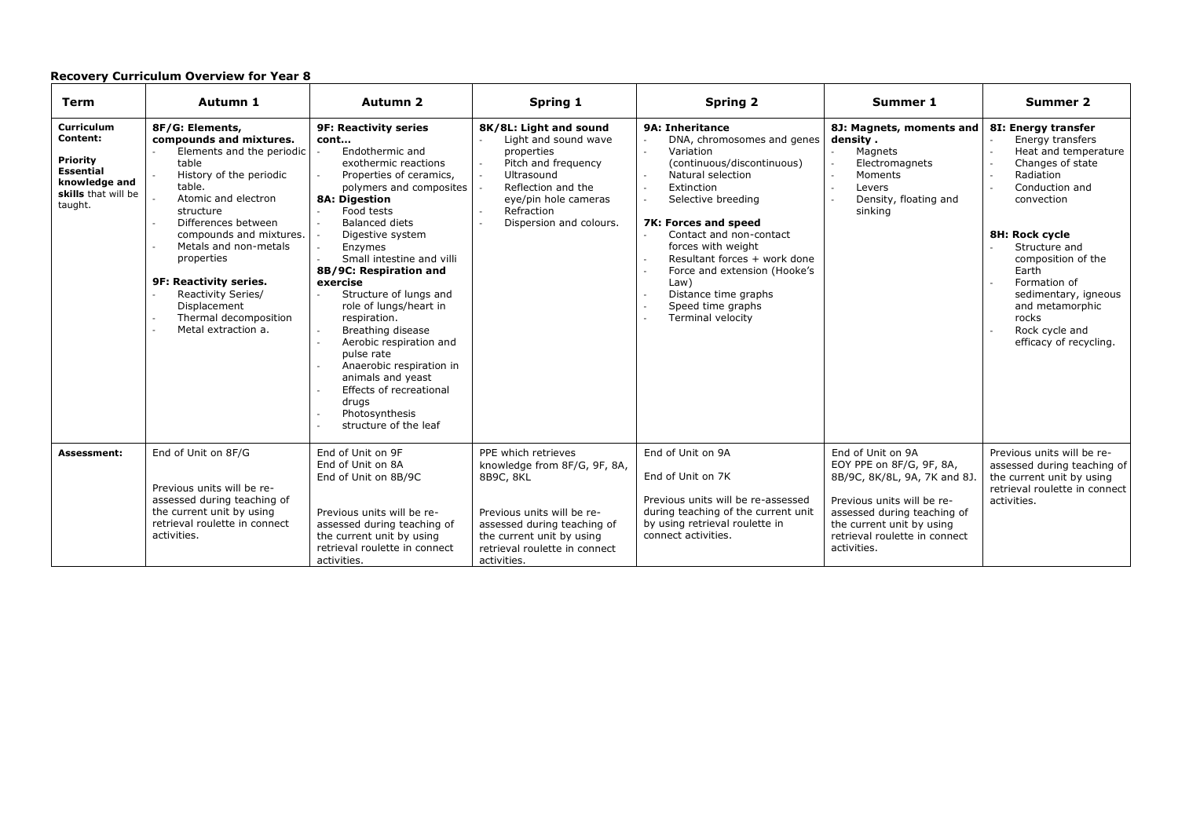| Term                                                                                                      | Autumn 1                                                                                                                                                                                                                                                                                                                                                           | Autumn 2                                                                                                                                                                                                                                                                                                                                                                                                                                                                                                                                                                                                                                      | Spring 1                                                                                                                                                                                                   | <b>Spring 2</b>                                                                                                                                                                                                                                                                                                                                                                       | Summer 1                                                                                                                                                                                                                | Summer 2                                                                                                                                                                                                                                                                                                                  |
|-----------------------------------------------------------------------------------------------------------|--------------------------------------------------------------------------------------------------------------------------------------------------------------------------------------------------------------------------------------------------------------------------------------------------------------------------------------------------------------------|-----------------------------------------------------------------------------------------------------------------------------------------------------------------------------------------------------------------------------------------------------------------------------------------------------------------------------------------------------------------------------------------------------------------------------------------------------------------------------------------------------------------------------------------------------------------------------------------------------------------------------------------------|------------------------------------------------------------------------------------------------------------------------------------------------------------------------------------------------------------|---------------------------------------------------------------------------------------------------------------------------------------------------------------------------------------------------------------------------------------------------------------------------------------------------------------------------------------------------------------------------------------|-------------------------------------------------------------------------------------------------------------------------------------------------------------------------------------------------------------------------|---------------------------------------------------------------------------------------------------------------------------------------------------------------------------------------------------------------------------------------------------------------------------------------------------------------------------|
| Curriculum<br>Content:<br>Priority<br><b>Essential</b><br>knowledge and<br>skills that will be<br>taught. | 8F/G: Elements,<br>compounds and mixtures.<br>Elements and the periodic<br>table<br>History of the periodic<br>table.<br>Atomic and electron<br>structure<br>Differences between<br>compounds and mixtures.<br>Metals and non-metals<br>properties<br>9F: Reactivity series.<br>Reactivity Series/<br>Displacement<br>Thermal decomposition<br>Metal extraction a. | <b>9F: Reactivity series</b><br>cont<br>Endothermic and<br>exothermic reactions<br>Properties of ceramics,<br>polymers and composites<br><b>8A: Digestion</b><br>Food tests<br><b>Balanced diets</b><br>$\mathcal{L}_{\mathcal{A}}$<br>Digestive system<br>$\sim$<br>$\mathbb{Z}^+$<br>Enzymes<br>Small intestine and villi<br>8B/9C: Respiration and<br>exercise<br>Structure of lungs and<br>$\sim$<br>role of lungs/heart in<br>respiration.<br>Breathing disease<br>Aerobic respiration and<br>pulse rate<br>Anaerobic respiration in<br>animals and yeast<br>Effects of recreational<br>drugs<br>Photosynthesis<br>structure of the leaf | 8K/8L: Light and sound<br>Light and sound wave<br>properties<br>Pitch and frequency<br>Ultrasound<br>Reflection and the<br>eye/pin hole cameras<br>Refraction<br>Dispersion and colours.                   | <b>9A: Inheritance</b><br>DNA, chromosomes and genes<br>Variation<br>$\sim$<br>(continuous/discontinuous)<br>Natural selection<br>Extinction<br>Selective breeding<br>7K: Forces and speed<br>Contact and non-contact<br>forces with weight<br>Resultant forces + work done<br>Force and extension (Hooke's<br>Law)<br>Distance time graphs<br>Speed time graphs<br>Terminal velocity | 8J: Magnets, moments and<br>density.<br>Magnets<br>$\mathcal{L}$<br>Electromagnets<br>Moments<br>Levers<br>Density, floating and<br>sinking                                                                             | 8I: Energy transfer<br>Energy transfers<br>Heat and temperature<br>Changes of state<br>Radiation<br>Conduction and<br>convection<br><b>8H: Rock cycle</b><br>Structure and<br>composition of the<br>Earth<br>Formation of<br>sedimentary, igneous<br>and metamorphic<br>rocks<br>Rock cycle and<br>efficacy of recycling. |
| Assessment:                                                                                               | End of Unit on 8F/G<br>Previous units will be re-<br>assessed during teaching of<br>the current unit by using<br>retrieval roulette in connect<br>activities.                                                                                                                                                                                                      | End of Unit on 9F<br>End of Unit on 8A<br>End of Unit on 8B/9C<br>Previous units will be re-<br>assessed during teaching of<br>the current unit by using<br>retrieval roulette in connect<br>activities.                                                                                                                                                                                                                                                                                                                                                                                                                                      | PPE which retrieves<br>knowledge from 8F/G, 9F, 8A,<br>8B9C, 8KL<br>Previous units will be re-<br>assessed during teaching of<br>the current unit by using<br>retrieval roulette in connect<br>activities. | End of Unit on 9A<br>End of Unit on 7K<br>Previous units will be re-assessed<br>during teaching of the current unit<br>by using retrieval roulette in<br>connect activities.                                                                                                                                                                                                          | End of Unit on 9A<br>EOY PPE on 8F/G, 9F, 8A,<br>8B/9C, 8K/8L, 9A, 7K and 8J.<br>Previous units will be re-<br>assessed during teaching of<br>the current unit by using<br>retrieval roulette in connect<br>activities. | Previous units will be re-<br>assessed during teaching of<br>the current unit by using<br>retrieval roulette in connect<br>activities.                                                                                                                                                                                    |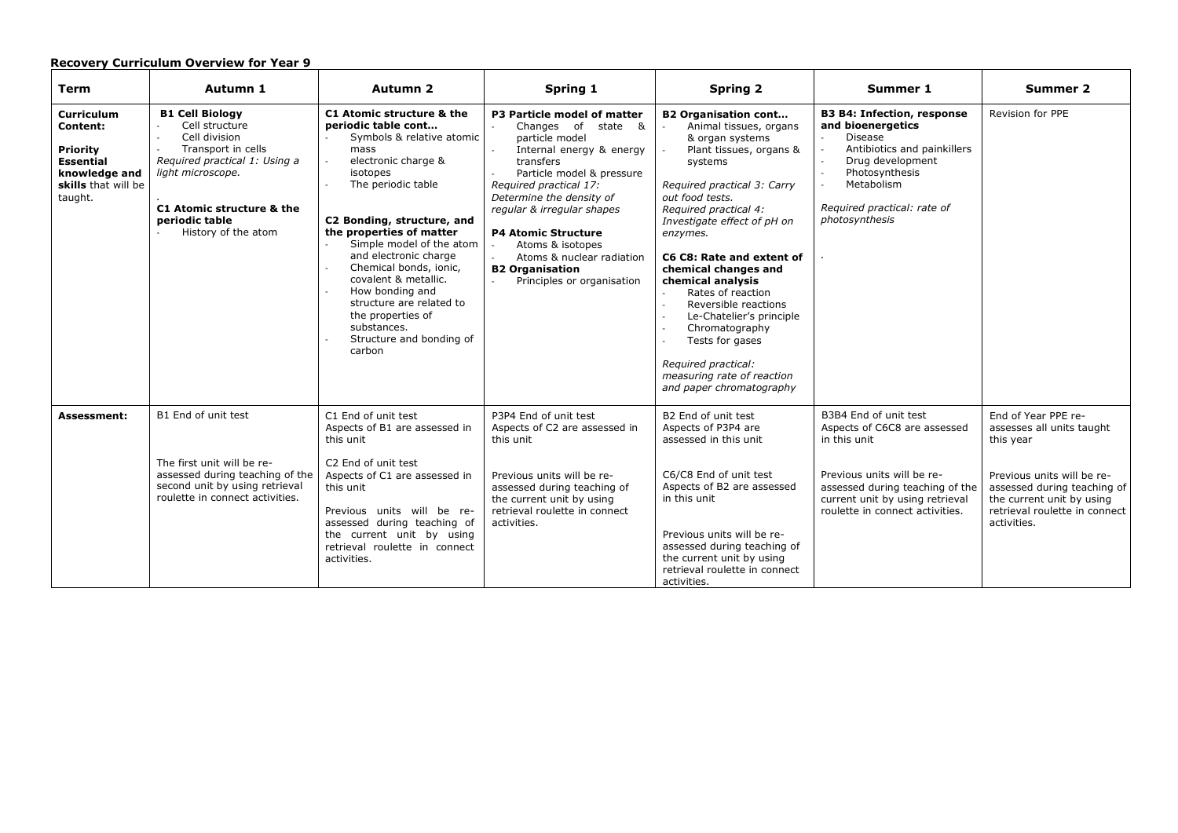| <b>Term</b>                                                                                                                    | Autumn 1                                                                                                                                                                                                    | <b>Autumn 2</b>                                                                                                                                                                                                                                                                                                                                                                                                                                           | Spring 1                                                                                                                                                                                                                                                                                                                                                                               | <b>Spring 2</b>                                                                                                                                                                                                                                                                                                                                                                                                                                                                                               | Summer 1                                                                                                                                                                                                     | Summer 2                                                                                                                                                                                                |
|--------------------------------------------------------------------------------------------------------------------------------|-------------------------------------------------------------------------------------------------------------------------------------------------------------------------------------------------------------|-----------------------------------------------------------------------------------------------------------------------------------------------------------------------------------------------------------------------------------------------------------------------------------------------------------------------------------------------------------------------------------------------------------------------------------------------------------|----------------------------------------------------------------------------------------------------------------------------------------------------------------------------------------------------------------------------------------------------------------------------------------------------------------------------------------------------------------------------------------|---------------------------------------------------------------------------------------------------------------------------------------------------------------------------------------------------------------------------------------------------------------------------------------------------------------------------------------------------------------------------------------------------------------------------------------------------------------------------------------------------------------|--------------------------------------------------------------------------------------------------------------------------------------------------------------------------------------------------------------|---------------------------------------------------------------------------------------------------------------------------------------------------------------------------------------------------------|
| <b>Curriculum</b><br><b>Content:</b><br><b>Priority</b><br><b>Essential</b><br>knowledge and<br>skills that will be<br>taught. | <b>B1 Cell Biology</b><br>Cell structure<br>Cell division<br>Transport in cells<br>Required practical 1: Using a<br>light microscope.<br>C1 Atomic structure & the<br>periodic table<br>History of the atom | C1 Atomic structure & the<br>periodic table cont<br>Symbols & relative atomic<br>mass<br>electronic charge &<br>$\mathcal{L}$<br>isotopes<br>The periodic table<br>C2 Bonding, structure, and<br>the properties of matter<br>Simple model of the atom<br>and electronic charge<br>Chemical bonds, ionic,<br>covalent & metallic.<br>How bonding and<br>structure are related to<br>the properties of<br>substances.<br>Structure and bonding of<br>carbon | P3 Particle model of matter<br>Changes of state &<br>particle model<br>Internal energy & energy<br>transfers<br>Particle model & pressure<br>Required practical 17:<br>Determine the density of<br>regular & irregular shapes<br><b>P4 Atomic Structure</b><br>Atoms & isotopes<br>Atoms & nuclear radiation<br><b>B2 Organisation</b><br>Principles or organisation<br>$\overline{a}$ | <b>B2 Organisation cont</b><br>Animal tissues, organs<br>& organ systems<br>Plant tissues, organs &<br>systems<br>Required practical 3: Carry<br>out food tests.<br>Required practical 4:<br>Investigate effect of pH on<br>enzymes.<br>C6 C8: Rate and extent of<br>chemical changes and<br>chemical analysis<br>Rates of reaction<br>Reversible reactions<br>Le-Chatelier's principle<br>Chromatography<br>Tests for gases<br>Required practical:<br>measuring rate of reaction<br>and paper chromatography | <b>B3 B4: Infection, response</b><br>and bioenergetics<br><b>Disease</b><br>Antibiotics and painkillers<br>Drug development<br>Photosynthesis<br>Metabolism<br>Required practical: rate of<br>photosynthesis | Revision for PPE                                                                                                                                                                                        |
| <b>Assessment:</b>                                                                                                             | B1 End of unit test<br>The first unit will be re-<br>assessed during teaching of the<br>second unit by using retrieval<br>roulette in connect activities.                                                   | C1 End of unit test<br>Aspects of B1 are assessed in<br>this unit<br>C2 End of unit test<br>Aspects of C1 are assessed in<br>this unit<br>Previous units will be re-<br>assessed during teaching of<br>the current unit by using<br>retrieval roulette in connect<br>activities.                                                                                                                                                                          | P3P4 End of unit test<br>Aspects of C2 are assessed in<br>this unit<br>Previous units will be re-<br>assessed during teaching of<br>the current unit by using<br>retrieval roulette in connect<br>activities.                                                                                                                                                                          | B2 End of unit test<br>Aspects of P3P4 are<br>assessed in this unit<br>C6/C8 End of unit test<br>Aspects of B2 are assessed<br>in this unit<br>Previous units will be re-<br>assessed during teaching of<br>the current unit by using<br>retrieval roulette in connect<br>activities.                                                                                                                                                                                                                         | B3B4 End of unit test<br>Aspects of C6C8 are assessed<br>in this unit<br>Previous units will be re-<br>assessed during teaching of the<br>current unit by using retrieval<br>roulette in connect activities. | End of Year PPE re-<br>assesses all units taught<br>this year<br>Previous units will be re-<br>assessed during teaching of<br>the current unit by using<br>retrieval roulette in connect<br>activities. |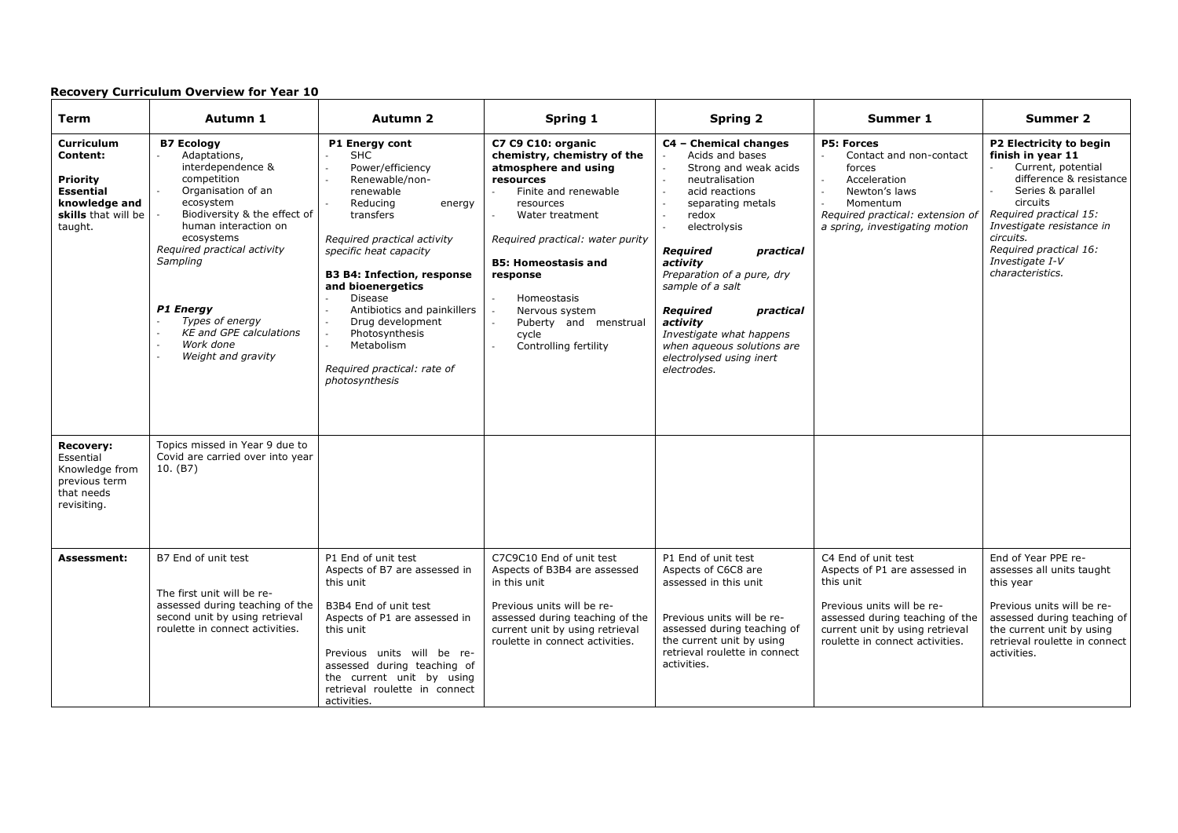| <b>Term</b>                                                                                                      | Autumn 1                                                                                                                                                                                                                                                                                                                                    | Autumn 2                                                                                                                                                                                                                                                                                                                                                                                                                   | Spring 1                                                                                                                                                                                                                                                                                                                                             | <b>Spring 2</b>                                                                                                                                                                                                                                                                                                                                                                                                                                                                                   | Summer 1                                                                                                                                                                                                 | <b>Summer 2</b>                                                                                                                                                                                                                                                     |
|------------------------------------------------------------------------------------------------------------------|---------------------------------------------------------------------------------------------------------------------------------------------------------------------------------------------------------------------------------------------------------------------------------------------------------------------------------------------|----------------------------------------------------------------------------------------------------------------------------------------------------------------------------------------------------------------------------------------------------------------------------------------------------------------------------------------------------------------------------------------------------------------------------|------------------------------------------------------------------------------------------------------------------------------------------------------------------------------------------------------------------------------------------------------------------------------------------------------------------------------------------------------|---------------------------------------------------------------------------------------------------------------------------------------------------------------------------------------------------------------------------------------------------------------------------------------------------------------------------------------------------------------------------------------------------------------------------------------------------------------------------------------------------|----------------------------------------------------------------------------------------------------------------------------------------------------------------------------------------------------------|---------------------------------------------------------------------------------------------------------------------------------------------------------------------------------------------------------------------------------------------------------------------|
| Curriculum<br>Content:<br><b>Priority</b><br><b>Essential</b><br>knowledge and<br>skills that will be<br>taught. | <b>B7 Ecology</b><br>Adaptations,<br>interdependence &<br>competition<br>Organisation of an<br>ecosystem<br>Biodiversity & the effect of<br>human interaction on<br>ecosystems<br>Required practical activity<br>Sampling<br><b>P1 Energy</b><br>Types of energy<br><b>KE and GPE calculations</b><br>Work done<br>÷,<br>Weight and gravity | P1 Energy cont<br><b>SHC</b><br>Power/efficiency<br>Renewable/non-<br>renewable<br>Reducing<br>energy<br>transfers<br>Required practical activity<br>specific heat capacity<br><b>B3 B4: Infection, response</b><br>and bioenergetics<br><b>Disease</b><br>Antibiotics and painkillers<br>Drug development<br>Photosynthesis<br>$\mathcal{L}^{\mathcal{A}}$<br>Metabolism<br>Required practical: rate of<br>photosynthesis | C7 C9 C10: organic<br>chemistry, chemistry of the<br>atmosphere and using<br>resources<br>Finite and renewable<br>resources<br>Water treatment<br>Required practical: water purity<br><b>B5: Homeostasis and</b><br>response<br>Homeostasis<br>$\sim$<br>Nervous system<br>Puberty and menstrual<br>$\overline{a}$<br>cycle<br>Controlling fertility | C4 - Chemical changes<br>Acids and bases<br>$\mathbb{Z}^2$<br>Strong and weak acids<br>neutralisation<br>$\overline{a}$<br>acid reactions<br>$\overline{\phantom{a}}$<br>separating metals<br>redox<br>$\mathcal{L}_{\mathcal{A}}$<br>electrolysis<br><b>Required</b><br>practical<br>activity<br>Preparation of a pure, dry<br>sample of a salt<br><b>Reauired</b><br>practical<br>activity<br>Investigate what happens<br>when aqueous solutions are<br>electrolysed using inert<br>electrodes. | <b>P5: Forces</b><br>Contact and non-contact<br>forces<br>Acceleration<br>Newton's laws<br>$\overline{\phantom{a}}$<br>Momentum<br>Required practical: extension of<br>a spring, investigating motion    | P2 Electricity to begin<br>finish in year 11<br>Current, potential<br>difference & resistance<br>Series & parallel<br>circuits<br>Required practical 15:<br>Investigate resistance in<br>circuits.<br>Required practical 16:<br>Investigate I-V<br>characteristics. |
| <b>Recovery:</b><br>Essential<br>Knowledge from<br>previous term<br>that needs<br>revisiting.                    | Topics missed in Year 9 due to<br>Covid are carried over into year<br>10. (B7)                                                                                                                                                                                                                                                              |                                                                                                                                                                                                                                                                                                                                                                                                                            |                                                                                                                                                                                                                                                                                                                                                      |                                                                                                                                                                                                                                                                                                                                                                                                                                                                                                   |                                                                                                                                                                                                          |                                                                                                                                                                                                                                                                     |
| <b>Assessment:</b>                                                                                               | B7 End of unit test<br>The first unit will be re-<br>assessed during teaching of the<br>second unit by using retrieval<br>roulette in connect activities.                                                                                                                                                                                   | P1 End of unit test<br>Aspects of B7 are assessed in<br>this unit<br>B3B4 End of unit test<br>Aspects of P1 are assessed in<br>this unit<br>Previous units will be re-<br>assessed during teaching of<br>the current unit by using<br>retrieval roulette in connect<br>activities.                                                                                                                                         | C7C9C10 End of unit test<br>Aspects of B3B4 are assessed<br>in this unit<br>Previous units will be re-<br>assessed during teaching of the<br>current unit by using retrieval<br>roulette in connect activities.                                                                                                                                      | P1 End of unit test<br>Aspects of C6C8 are<br>assessed in this unit<br>Previous units will be re-<br>assessed during teaching of<br>the current unit by using<br>retrieval roulette in connect<br>activities.                                                                                                                                                                                                                                                                                     | C4 End of unit test<br>Aspects of P1 are assessed in<br>this unit<br>Previous units will be re-<br>assessed during teaching of the<br>current unit by using retrieval<br>roulette in connect activities. | End of Year PPE re-<br>assesses all units taught<br>this year<br>Previous units will be re-<br>assessed during teaching of<br>the current unit by using<br>retrieval roulette in connect<br>activities.                                                             |